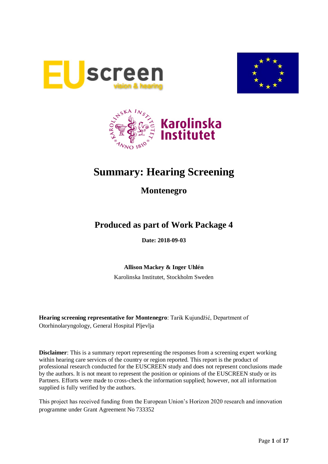





# **Summary: Hearing Screening**

# **Montenegro**

# **Produced as part of Work Package 4**

**Date: 2018-09-03**

**Allison Mackey & Inger Uhlén**

Karolinska Institutet, Stockholm Sweden

**Hearing screening representative for Montenegro**: Tarik Kujundžić, Department of Otorhinolaryngology, General Hospital Pljevlja

**Disclaimer**: This is a summary report representing the responses from a screening expert working within hearing care services of the country or region reported. This report is the product of professional research conducted for the EUSCREEN study and does not represent conclusions made by the authors. It is not meant to represent the position or opinions of the EUSCREEN study or its Partners. Efforts were made to cross-check the information supplied; however, not all information supplied is fully verified by the authors.

This project has received funding from the European Union's Horizon 2020 research and innovation programme under Grant Agreement No 733352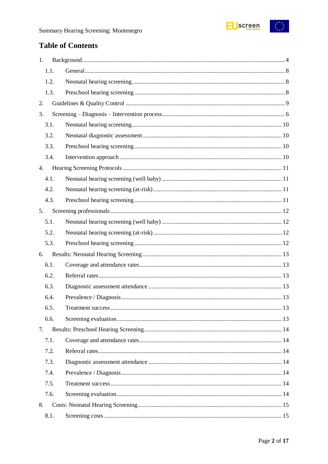

# **Table of Contents**

| 1.   |  |  |  |  |  |
|------|--|--|--|--|--|
| 1.1. |  |  |  |  |  |
| 1.2. |  |  |  |  |  |
| 1.3. |  |  |  |  |  |
| 2.   |  |  |  |  |  |
| 3.   |  |  |  |  |  |
| 3.1. |  |  |  |  |  |
| 3.2. |  |  |  |  |  |
| 3.3. |  |  |  |  |  |
| 3.4. |  |  |  |  |  |
| 4.   |  |  |  |  |  |
| 4.1. |  |  |  |  |  |
| 4.2. |  |  |  |  |  |
| 4.3. |  |  |  |  |  |
| 5.   |  |  |  |  |  |
| 5.1. |  |  |  |  |  |
| 5.2. |  |  |  |  |  |
| 5.3. |  |  |  |  |  |
| 6.   |  |  |  |  |  |
| 6.1. |  |  |  |  |  |
| 6.2. |  |  |  |  |  |
| 6.3. |  |  |  |  |  |
| 6.4. |  |  |  |  |  |
| 6.5. |  |  |  |  |  |
| 6.6. |  |  |  |  |  |
| 7.   |  |  |  |  |  |
| 7.1. |  |  |  |  |  |
| 7.2. |  |  |  |  |  |
| 7.3. |  |  |  |  |  |
| 7.4. |  |  |  |  |  |
| 7.5. |  |  |  |  |  |
| 7.6. |  |  |  |  |  |
| 8.   |  |  |  |  |  |
| 8.1. |  |  |  |  |  |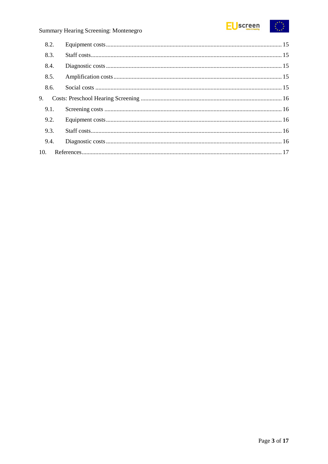

# Summary Hearing Screening: Montenegro

| 8.2. |  |  |
|------|--|--|
| 8.3. |  |  |
| 8.4. |  |  |
| 8.5. |  |  |
| 8.6. |  |  |
| 9.   |  |  |
| 9.1. |  |  |
| 9.2. |  |  |
| 9.3. |  |  |
| 9.4. |  |  |
| 10.  |  |  |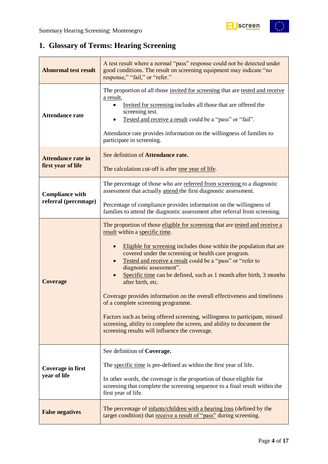

# <span id="page-3-0"></span>**1. Glossary of Terms: Hearing Screening**

| <b>Abnormal test result</b>                     | A test result where a normal "pass" response could not be detected under<br>good conditions. The result on screening equipment may indicate "no<br>response," "fail," or "refer."                                                                                                                                                                                                                                                                                                                                                                                                                                                                                                                                                                                |
|-------------------------------------------------|------------------------------------------------------------------------------------------------------------------------------------------------------------------------------------------------------------------------------------------------------------------------------------------------------------------------------------------------------------------------------------------------------------------------------------------------------------------------------------------------------------------------------------------------------------------------------------------------------------------------------------------------------------------------------------------------------------------------------------------------------------------|
| <b>Attendance rate</b>                          | The proportion of all those invited for screening that are tested and receive<br>a result,<br>Invited for screening includes all those that are offered the<br>screening test.<br>Tested and receive a result could be a "pass" or "fail".<br>Attendance rate provides information on the willingness of families to<br>participate in screening.                                                                                                                                                                                                                                                                                                                                                                                                                |
| <b>Attendance rate in</b><br>first year of life | See definition of Attendance rate.<br>The calculation cut-off is after <u>one year of life</u> .                                                                                                                                                                                                                                                                                                                                                                                                                                                                                                                                                                                                                                                                 |
| <b>Compliance with</b>                          | The percentage of those who are referred from screening to a diagnostic<br>assessment that actually attend the first diagnostic assessment.                                                                                                                                                                                                                                                                                                                                                                                                                                                                                                                                                                                                                      |
| referral (percentage)                           | Percentage of compliance provides information on the willingness of<br>families to attend the diagnostic assessment after referral from screening.                                                                                                                                                                                                                                                                                                                                                                                                                                                                                                                                                                                                               |
| <b>Coverage</b>                                 | The proportion of those eligible for screening that are tested and receive a<br>result within a specific time.<br>Eligible for screening includes those within the population that are<br>covered under the screening or health care program.<br>Tested and receive a result could be a "pass" or "refer to<br>diagnostic assessment".<br>Specific time can be defined, such as 1 month after birth, 3 months<br>after birth, etc.<br>Coverage provides information on the overall effectiveness and timeliness<br>of a complete screening programme.<br>Factors such as being offered screening, willingness to participate, missed<br>screening, ability to complete the screen, and ability to document the<br>screening results will influence the coverage. |
|                                                 | See definition of Coverage.                                                                                                                                                                                                                                                                                                                                                                                                                                                                                                                                                                                                                                                                                                                                      |
| <b>Coverage in first</b>                        | The specific time is pre-defined as within the first year of life.                                                                                                                                                                                                                                                                                                                                                                                                                                                                                                                                                                                                                                                                                               |
| year of life                                    | In other words, the coverage is the proportion of those eligible for<br>screening that complete the screening sequence to a final result within the<br>first year of life.                                                                                                                                                                                                                                                                                                                                                                                                                                                                                                                                                                                       |
| <b>False negatives</b>                          | The percentage of infants/children with a hearing loss (defined by the<br>target condition) that receive a result of "pass" during screening.                                                                                                                                                                                                                                                                                                                                                                                                                                                                                                                                                                                                                    |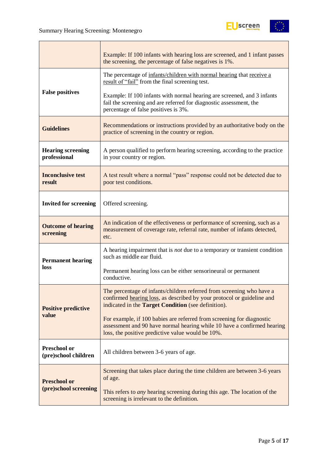

|                                             | Example: If 100 infants with hearing loss are screened, and 1 infant passes<br>the screening, the percentage of false negatives is 1%.                                                                 |
|---------------------------------------------|--------------------------------------------------------------------------------------------------------------------------------------------------------------------------------------------------------|
|                                             | The percentage of infants/children with normal hearing that receive a<br>result of "fail" from the final screening test.                                                                               |
| <b>False positives</b>                      | Example: If 100 infants with normal hearing are screened, and 3 infants<br>fail the screening and are referred for diagnostic assessment, the<br>percentage of false positives is 3%.                  |
| <b>Guidelines</b>                           | Recommendations or instructions provided by an authoritative body on the<br>practice of screening in the country or region.                                                                            |
| <b>Hearing screening</b><br>professional    | A person qualified to perform hearing screening, according to the practice<br>in your country or region.                                                                                               |
| <b>Inconclusive test</b><br>result          | A test result where a normal "pass" response could not be detected due to<br>poor test conditions.                                                                                                     |
| <b>Invited for screening</b>                | Offered screening.                                                                                                                                                                                     |
| <b>Outcome of hearing</b><br>screening      | An indication of the effectiveness or performance of screening, such as a<br>measurement of coverage rate, referral rate, number of infants detected,<br>etc.                                          |
| <b>Permanent hearing</b>                    | A hearing impairment that is <i>not</i> due to a temporary or transient condition<br>such as middle ear fluid.                                                                                         |
| loss                                        | Permanent hearing loss can be either sensorineural or permanent<br>conductive.                                                                                                                         |
| <b>Positive predictive</b>                  | The percentage of infants/children referred from screening who have a<br>confirmed hearing loss, as described by your protocol or guideline and<br>indicated in the Target Condition (see definition). |
| value                                       | For example, if 100 babies are referred from screening for diagnostic<br>assessment and 90 have normal hearing while 10 have a confirmed hearing<br>loss, the positive predictive value would be 10%.  |
| <b>Preschool or</b><br>(pre)school children | All children between 3-6 years of age.                                                                                                                                                                 |
| <b>Preschool or</b>                         | Screening that takes place during the time children are between 3-6 years<br>of age.                                                                                                                   |
| (pre)school screening                       | This refers to <i>any</i> hearing screening during this age. The location of the<br>screening is irrelevant to the definition.                                                                         |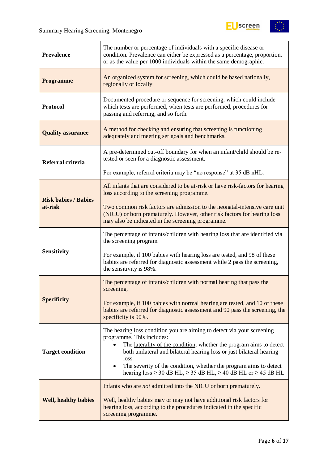

| <b>Prevalence</b>           | The number or percentage of individuals with a specific disease or<br>condition. Prevalence can either be expressed as a percentage, proportion,<br>or as the value per 1000 individuals within the same demographic. |
|-----------------------------|-----------------------------------------------------------------------------------------------------------------------------------------------------------------------------------------------------------------------|
| <b>Programme</b>            | An organized system for screening, which could be based nationally,<br>regionally or locally.                                                                                                                         |
| <b>Protocol</b>             | Documented procedure or sequence for screening, which could include<br>which tests are performed, when tests are performed, procedures for<br>passing and referring, and so forth.                                    |
| <b>Quality assurance</b>    | A method for checking and ensuring that screening is functioning<br>adequately and meeting set goals and benchmarks.                                                                                                  |
| Referral criteria           | A pre-determined cut-off boundary for when an infant/child should be re-<br>tested or seen for a diagnostic assessment.                                                                                               |
|                             | For example, referral criteria may be "no response" at 35 dB nHL.                                                                                                                                                     |
| <b>Risk babies / Babies</b> | All infants that are considered to be at-risk or have risk-factors for hearing<br>loss according to the screening programme.                                                                                          |
| at-risk                     | Two common risk factors are admission to the neonatal-intensive care unit<br>(NICU) or born prematurely. However, other risk factors for hearing loss<br>may also be indicated in the screening programme.            |
|                             | The percentage of infants/children with hearing loss that are identified via<br>the screening program.                                                                                                                |
| <b>Sensitivity</b>          | For example, if 100 babies with hearing loss are tested, and 98 of these<br>babies are referred for diagnostic assessment while 2 pass the screening,<br>the sensitivity is 98%.                                      |
|                             | The percentage of infants/children with normal hearing that pass the<br>screening.                                                                                                                                    |
| <b>Specificity</b>          | For example, if 100 babies with normal hearing are tested, and 10 of these<br>babies are referred for diagnostic assessment and 90 pass the screening, the<br>specificity is 90%.                                     |
|                             | The hearing loss condition you are aiming to detect via your screening<br>programme. This includes:                                                                                                                   |
| <b>Target condition</b>     | The laterality of the condition, whether the program aims to detect<br>both unilateral and bilateral hearing loss or just bilateral hearing                                                                           |
|                             | loss.<br>The severity of the condition, whether the program aims to detect<br>$\bullet$<br>hearing $loss \ge 30$ dB HL, $\ge 35$ dB HL, $\ge 40$ dB HL or $\ge 45$ dB HL                                              |
|                             | Infants who are <i>not</i> admitted into the NICU or born prematurely.                                                                                                                                                |
| <b>Well, healthy babies</b> | Well, healthy babies may or may not have additional risk factors for<br>hearing loss, according to the procedures indicated in the specific<br>screening programme.                                                   |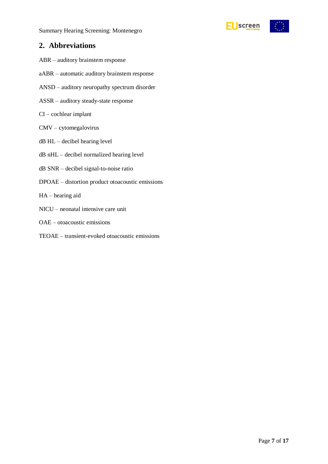Summary Hearing Screening: Montenegro



### **2. Abbreviations**

- ABR auditory brainstem response
- aABR automatic auditory brainstem response
- ANSD auditory neuropathy spectrum disorder
- ASSR auditory steady-state response
- CI cochlear implant
- CMV cytomegalovirus
- dB HL decibel hearing level
- dB nHL decibel normalized hearing level
- dB SNR decibel signal-to-noise ratio
- DPOAE distortion product otoacoustic emissions
- HA hearing aid
- NICU neonatal intensive care unit
- OAE otoacoustic emissions
- TEOAE transient-evoked otoacoustic emissions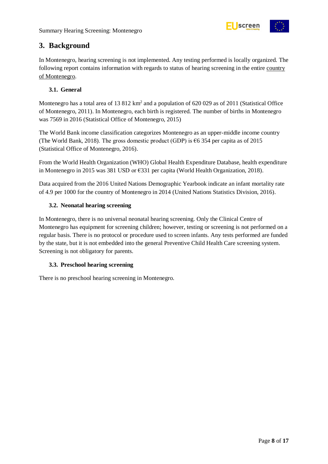

# **3. Background**

In Montenegro, hearing screening is not implemented. Any testing performed is locally organized. The following report contains information with regards to status of hearing screening in the entire country of Montenegro.

#### <span id="page-7-0"></span>**3.1. General**

Montenegro has a total area of 13 812 km<sup>2</sup> and a population of 620 029 as of 2011 (Statistical Office of Montenegro, 2011). In Montenegro, each birth is registered. The number of births in Montenegro was 7569 in 2016 (Statistical Office of Montenegro, 2015)

The World Bank income classification categorizes Montenegro as an upper-middle income country (The World Bank, 2018). The gross domestic product (GDP) is  $66354$  per capita as of 2015 (Statistical Office of Montenegro, 2016).

From the World Health Organization (WHO) Global Health Expenditure Database, health expenditure in Montenegro in 2015 was 381 USD or  $\epsilon$ 331 per capita (World Health Organization, 2018).

Data acquired from the 2016 United Nations Demographic Yearbook indicate an infant mortality rate of 4.9 per 1000 for the country of Montenegro in 2014 (United Nations Statistics Division, 2016).

#### <span id="page-7-1"></span>**3.2. Neonatal hearing screening**

In Montenegro, there is no universal neonatal hearing screening. Only the Clinical Centre of Montenegro has equipment for screening children; however, testing or screening is not performed on a regular basis. There is no protocol or procedure used to screen infants. Any tests performed are funded by the state, but it is not embedded into the general Preventive Child Health Care screening system. Screening is not obligatory for parents.

#### <span id="page-7-2"></span>**3.3. Preschool hearing screening**

There is no preschool hearing screening in Montenegro.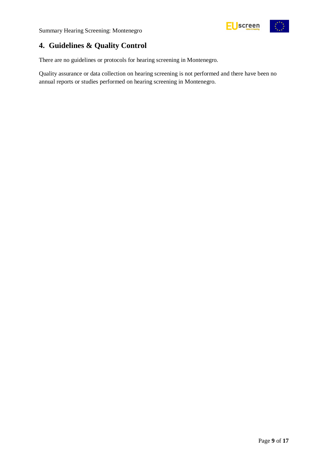



# <span id="page-8-0"></span>**4. Guidelines & Quality Control**

There are no guidelines or protocols for hearing screening in Montenegro.

Quality assurance or data collection on hearing screening is not performed and there have been no annual reports or studies performed on hearing screening in Montenegro.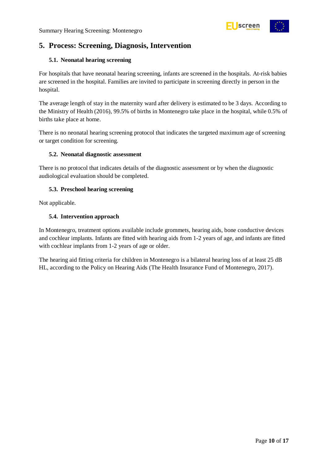

# <span id="page-9-0"></span>**5. Process: Screening, Diagnosis, Intervention**

#### **5.1. Neonatal hearing screening**

For hospitals that have neonatal hearing screening, infants are screened in the hospitals. At-risk babies are screened in the hospital. Families are invited to participate in screening directly in person in the hospital.

The average length of stay in the maternity ward after delivery is estimated to be 3 days. According to the Ministry of Health (2016), 99.5% of births in Montenegro take place in the hospital, while 0.5% of births take place at home.

There is no neonatal hearing screening protocol that indicates the targeted maximum age of screening or target condition for screening.

#### <span id="page-9-1"></span>**5.2. Neonatal diagnostic assessment**

There is no protocol that indicates details of the diagnostic assessment or by when the diagnostic audiological evaluation should be completed.

#### <span id="page-9-2"></span>**5.3. Preschool hearing screening**

Not applicable.

#### <span id="page-9-3"></span>**5.4. Intervention approach**

In Montenegro, treatment options available include grommets, hearing aids, bone conductive devices and cochlear implants. Infants are fitted with hearing aids from 1-2 years of age, and infants are fitted with cochlear implants from 1-2 years of age or older.

The hearing aid fitting criteria for children in Montenegro is a bilateral hearing loss of at least 25 dB HL, according to the Policy on Hearing Aids (The Health Insurance Fund of Montenegro, 2017).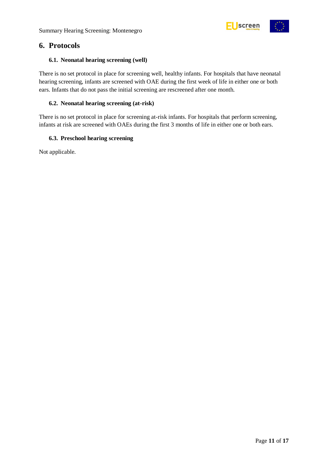



### <span id="page-10-0"></span>**6. Protocols**

#### <span id="page-10-1"></span>**6.1. Neonatal hearing screening (well)**

There is no set protocol in place for screening well, healthy infants. For hospitals that have neonatal hearing screening, infants are screened with OAE during the first week of life in either one or both ears. Infants that do not pass the initial screening are rescreened after one month.

#### <span id="page-10-2"></span>**6.2. Neonatal hearing screening (at-risk)**

There is no set protocol in place for screening at-risk infants. For hospitals that perform screening, infants at risk are screened with OAEs during the first 3 months of life in either one or both ears.

#### <span id="page-10-3"></span>**6.3. Preschool hearing screening**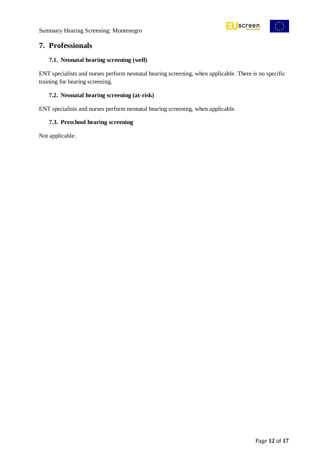

### <span id="page-11-0"></span>**7. Professionals**

#### <span id="page-11-1"></span>**7.1. Neonatal hearing screening (well)**

ENT specialists and nurses perform neonatal hearing screening, when applicable. There is no specific training for hearing screening.

#### <span id="page-11-2"></span>**7.2. Neonatal hearing screening (at-risk)**

ENT specialists and nurses perform neonatal hearing screening, when applicable.

#### <span id="page-11-3"></span>**7.3. Preschool hearing screening**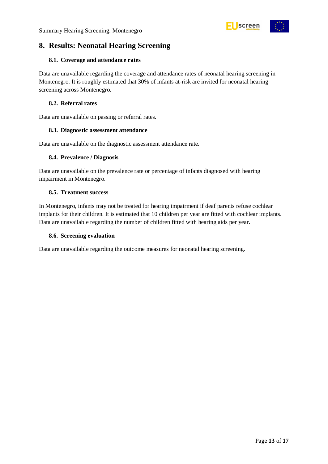

# <span id="page-12-0"></span>**8. Results: Neonatal Hearing Screening**

#### <span id="page-12-1"></span>**8.1. Coverage and attendance rates**

Data are unavailable regarding the coverage and attendance rates of neonatal hearing screening in Montenegro. It is roughly estimated that 30% of infants at-risk are invited for neonatal hearing screening across Montenegro.

#### <span id="page-12-2"></span>**8.2. Referral rates**

Data are unavailable on passing or referral rates.

#### <span id="page-12-3"></span>**8.3. Diagnostic assessment attendance**

Data are unavailable on the diagnostic assessment attendance rate.

#### <span id="page-12-4"></span>**8.4. Prevalence / Diagnosis**

Data are unavailable on the prevalence rate or percentage of infants diagnosed with hearing impairment in Montenegro.

#### <span id="page-12-5"></span>**8.5. Treatment success**

In Montenegro, infants may not be treated for hearing impairment if deaf parents refuse cochlear implants for their children. It is estimated that 10 children per year are fitted with cochlear implants. Data are unavailable regarding the number of children fitted with hearing aids per year.

#### <span id="page-12-6"></span>**8.6. Screening evaluation**

Data are unavailable regarding the outcome measures for neonatal hearing screening.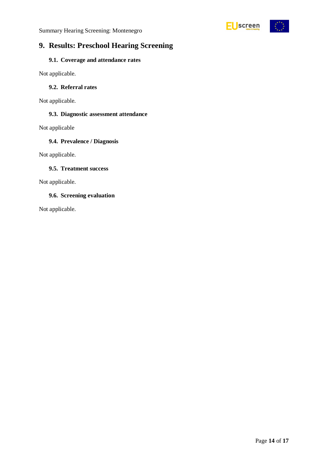

# <span id="page-13-0"></span>**9. Results: Preschool Hearing Screening**

#### <span id="page-13-1"></span>**9.1. Coverage and attendance rates**

Not applicable.

### <span id="page-13-2"></span>**9.2. Referral rates**

Not applicable.

#### <span id="page-13-3"></span>**9.3. Diagnostic assessment attendance**

Not applicable

#### <span id="page-13-4"></span>**9.4. Prevalence / Diagnosis**

Not applicable.

#### <span id="page-13-5"></span>**9.5. Treatment success**

Not applicable.

#### <span id="page-13-6"></span>**9.6. Screening evaluation**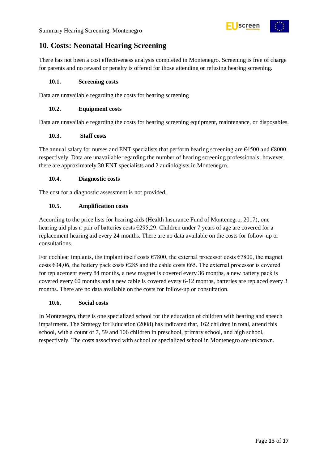



# <span id="page-14-0"></span>**10. Costs: Neonatal Hearing Screening**

There has not been a cost effectiveness analysis completed in Montenegro. Screening is free of charge for parents and no reward or penalty is offered for those attending or refusing hearing screening.

#### <span id="page-14-1"></span>**10.1. Screening costs**

Data are unavailable regarding the costs for hearing screening

#### <span id="page-14-2"></span>**10.2. Equipment costs**

Data are unavailable regarding the costs for hearing screening equipment, maintenance, or disposables.

#### <span id="page-14-3"></span>**10.3. Staff costs**

The annual salary for nurses and ENT specialists that perform hearing screening are  $\epsilon$ 4500 and  $\epsilon$ 8000, respectively. Data are unavailable regarding the number of hearing screening professionals; however, there are approximately 30 ENT specialists and 2 audiologists in Montenegro.

#### <span id="page-14-4"></span>**10.4. Diagnostic costs**

The cost for a diagnostic assessment is not provided.

#### <span id="page-14-5"></span>**10.5. Amplification costs**

According to the price lists for hearing aids (Health Insurance Fund of Montenegro, 2017), one hearing aid plus a pair of batteries costs  $\epsilon$ 295,29. Children under 7 years of age are covered for a replacement hearing aid every 24 months. There are no data available on the costs for follow-up or consultations.

For cochlear implants, the implant itself costs  $\epsilon$ 7800, the external processor costs  $\epsilon$ 7800, the magnet costs €34,06, the battery pack costs €285 and the cable costs €65. The external processor is covered for replacement every 84 months, a new magnet is covered every 36 months, a new battery pack is covered every 60 months and a new cable is covered every 6-12 months, batteries are replaced every 3 months. There are no data available on the costs for follow-up or consultation.

#### <span id="page-14-6"></span>**10.6. Social costs**

In Montenegro, there is one specialized school for the education of children with hearing and speech impairment. The Strategy for Education (2008) has indicated that, 162 children in total, attend this school, with a count of 7, 59 and 106 children in preschool, primary school, and high school, respectively. The costs associated with school or specialized school in Montenegro are unknown.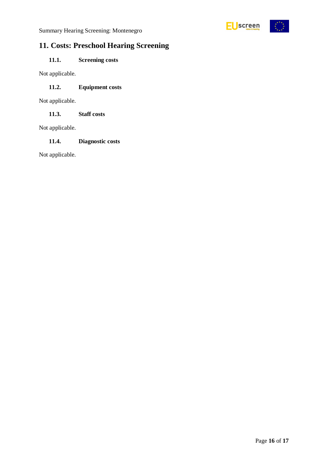

# <span id="page-15-0"></span>**11. Costs: Preschool Hearing Screening**

### <span id="page-15-1"></span>**11.1. Screening costs**

Not applicable.

#### <span id="page-15-2"></span>**11.2. Equipment costs**

Not applicable.

<span id="page-15-3"></span>**11.3. Staff costs**

Not applicable.

#### <span id="page-15-4"></span>**11.4. Diagnostic costs**